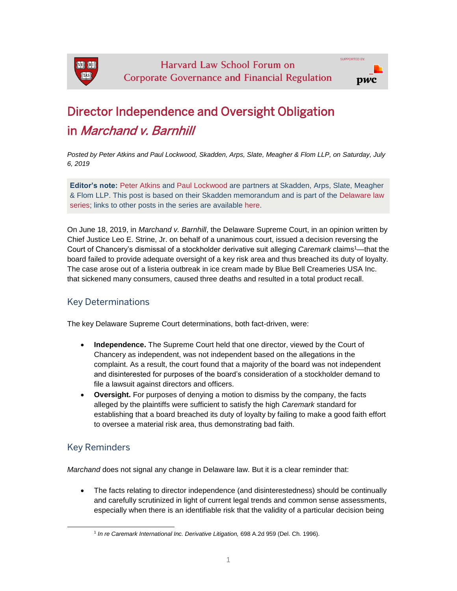

## Director Independence and Oversight Obligation in Marchand v. Barnhill

*Posted by Peter Atkins and Paul Lockwood, Skadden, Arps, Slate, Meagher & Flom LLP, on Saturday, July 6, 2019*

**Editor's note:** [Peter Atkins](https://www.skadden.com/professionals/a/atkins-peter-a) and [Paul Lockwood](https://www.skadden.com/professionals/l/lockwood-paul-j) are partners at Skadden, Arps, Slate, Meagher & Flom LLP. This post is based on their Skadden memorandum and is part of the [Delaware law](https://corpgov.law.harvard.edu/the-delaware-law-series/)  [series;](https://corpgov.law.harvard.edu/the-delaware-law-series/) links to other posts in the series are available [here.](https://corpgov.law.harvard.edu/the-delaware-law-series/)

On June 18, 2019, in *Marchand v. Barnhill*, the Delaware Supreme Court, in an opinion written by Chief Justice Leo E. Strine, Jr. on behalf of a unanimous court, issued a decision reversing the Court of Chancery's dismissal of a stockholder derivative suit alleging *Caremark* claims<sup>1</sup>—that the board failed to provide adequate oversight of a key risk area and thus breached its duty of loyalty. The case arose out of a listeria outbreak in ice cream made by Blue Bell Creameries USA Inc. that sickened many consumers, caused three deaths and resulted in a total product recall.

## Key Determinations

The key Delaware Supreme Court determinations, both fact-driven, were:

- **Independence.** The Supreme Court held that one director, viewed by the Court of Chancery as independent, was not independent based on the allegations in the complaint. As a result, the court found that a majority of the board was not independent and disinterested for purposes of the board's consideration of a stockholder demand to file a lawsuit against directors and officers.
- **Oversight.** For purposes of denying a motion to dismiss by the company, the facts alleged by the plaintiffs were sufficient to satisfy the high *Caremark* standard for establishing that a board breached its duty of loyalty by failing to make a good faith effort to oversee a material risk area, thus demonstrating bad faith.

## Key Reminders

l

*Marchand* does not signal any change in Delaware law. But it is a clear reminder that:

• The facts relating to director independence (and disinterestedness) should be continually and carefully scrutinized in light of current legal trends and common sense assessments, especially when there is an identifiable risk that the validity of a particular decision being

<sup>1</sup> *In re Caremark International Inc. Derivative Litigation,* 698 A.2d 959 (Del. Ch. 1996).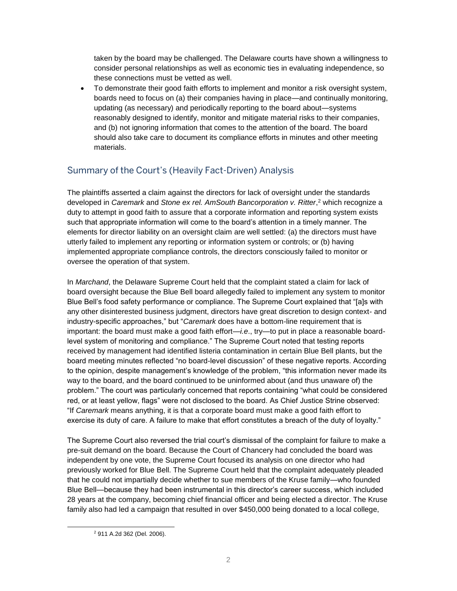taken by the board may be challenged. The Delaware courts have shown a willingness to consider personal relationships as well as economic ties in evaluating independence, so these connections must be vetted as well.

• To demonstrate their good faith efforts to implement and monitor a risk oversight system, boards need to focus on (a) their companies having in place—and continually monitoring, updating (as necessary) and periodically reporting to the board about—systems reasonably designed to identify, monitor and mitigate material risks to their companies, and (b) not ignoring information that comes to the attention of the board. The board should also take care to document its compliance efforts in minutes and other meeting materials.

## Summary of the Court's (Heavily Fact-Driven) Analysis

The plaintiffs asserted a claim against the directors for lack of oversight under the standards developed in *Caremark* and *Stone ex rel. AmSouth Bancorporation v. Ritter*, <sup>2</sup> which recognize a duty to attempt in good faith to assure that a corporate information and reporting system exists such that appropriate information will come to the board's attention in a timely manner. The elements for director liability on an oversight claim are well settled: (a) the directors must have utterly failed to implement any reporting or information system or controls; or (b) having implemented appropriate compliance controls, the directors consciously failed to monitor or oversee the operation of that system.

In *Marchand*, the Delaware Supreme Court held that the complaint stated a claim for lack of board oversight because the Blue Bell board allegedly failed to implement any system to monitor Blue Bell's food safety performance or compliance. The Supreme Court explained that "[a]s with any other disinterested business judgment, directors have great discretion to design context- and industry-specific approaches," but "*Caremark* does have a bottom-line requirement that is important: the board must make a good faith effort—*i.e*., try—to put in place a reasonable boardlevel system of monitoring and compliance." The Supreme Court noted that testing reports received by management had identified listeria contamination in certain Blue Bell plants, but the board meeting minutes reflected "no board-level discussion" of these negative reports. According to the opinion, despite management's knowledge of the problem, "this information never made its way to the board, and the board continued to be uninformed about (and thus unaware of) the problem." The court was particularly concerned that reports containing "what could be considered red, or at least yellow, flags" were not disclosed to the board. As Chief Justice Strine observed: "If *Caremark* means anything, it is that a corporate board must make a good faith effort to exercise its duty of care. A failure to make that effort constitutes a breach of the duty of loyalty."

The Supreme Court also reversed the trial court's dismissal of the complaint for failure to make a pre-suit demand on the board. Because the Court of Chancery had concluded the board was independent by one vote, the Supreme Court focused its analysis on one director who had previously worked for Blue Bell. The Supreme Court held that the complaint adequately pleaded that he could not impartially decide whether to sue members of the Kruse family—who founded Blue Bell—because they had been instrumental in this director's career success, which included 28 years at the company, becoming chief financial officer and being elected a director. The Kruse family also had led a campaign that resulted in over \$450,000 being donated to a local college,

l

<sup>2</sup> 911 A.2d 362 (Del. 2006).